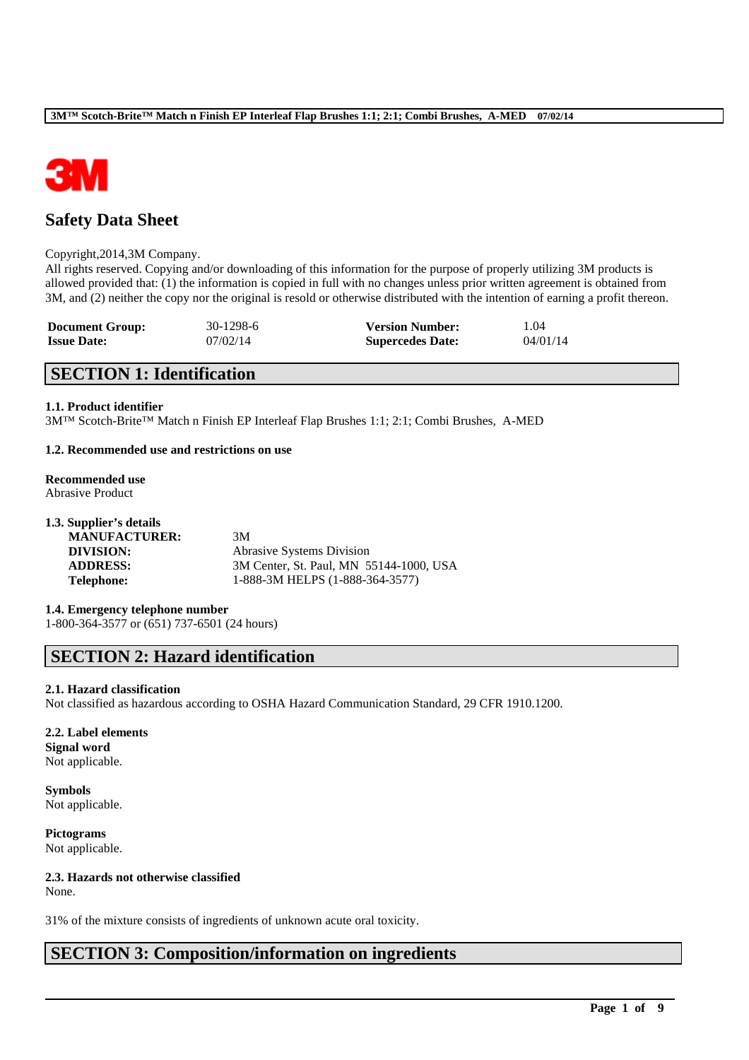

## **Safety Data Sheet**

#### Copyright,2014,3M Company.

All rights reserved. Copying and/or downloading of this information for the purpose of properly utilizing 3M products is allowed provided that: (1) the information is copied in full with no changes unless prior written agreement is obtained from 3M, and (2) neither the copy nor the original is resold or otherwise distributed with the intention of earning a profit thereon.

| <b>Document Group:</b> | 30-1298-6 | <b>Version Number:</b>  | 1.04     |
|------------------------|-----------|-------------------------|----------|
| <b>Issue Date:</b>     | 07/02/14  | <b>Supercedes Date:</b> | 04/01/14 |

## **SECTION 1: Identification**

#### **1.1. Product identifier**

3M™ Scotch-Brite™ Match n Finish EP Interleaf Flap Brushes 1:1; 2:1; Combi Brushes, A-MED

#### **1.2. Recommended use and restrictions on use**

#### **Recommended use** Abrasive Product

| 1.3. Supplier's details |                                         |
|-------------------------|-----------------------------------------|
| <b>MANUFACTURER:</b>    | 3M                                      |
| DIVISION:               | <b>Abrasive Systems Division</b>        |
| <b>ADDRESS:</b>         | 3M Center, St. Paul, MN 55144-1000, USA |
| <b>Telephone:</b>       | 1-888-3M HELPS (1-888-364-3577)         |
|                         |                                         |

**1.4. Emergency telephone number** 1-800-364-3577 or (651) 737-6501 (24 hours)

## **SECTION 2: Hazard identification**

#### **2.1. Hazard classification**

Not classified as hazardous according to OSHA Hazard Communication Standard, 29 CFR 1910.1200.

\_\_\_\_\_\_\_\_\_\_\_\_\_\_\_\_\_\_\_\_\_\_\_\_\_\_\_\_\_\_\_\_\_\_\_\_\_\_\_\_\_\_\_\_\_\_\_\_\_\_\_\_\_\_\_\_\_\_\_\_\_\_\_\_\_\_\_\_\_\_\_\_\_\_\_\_\_\_\_\_\_\_\_\_\_\_\_\_\_\_

#### **2.2. Label elements**

**Signal word** Not applicable.

**Symbols** Not applicable.

**Pictograms** Not applicable.

## **2.3. Hazards not otherwise classified**

None.

31% of the mixture consists of ingredients of unknown acute oral toxicity.

## **SECTION 3: Composition/information on ingredients**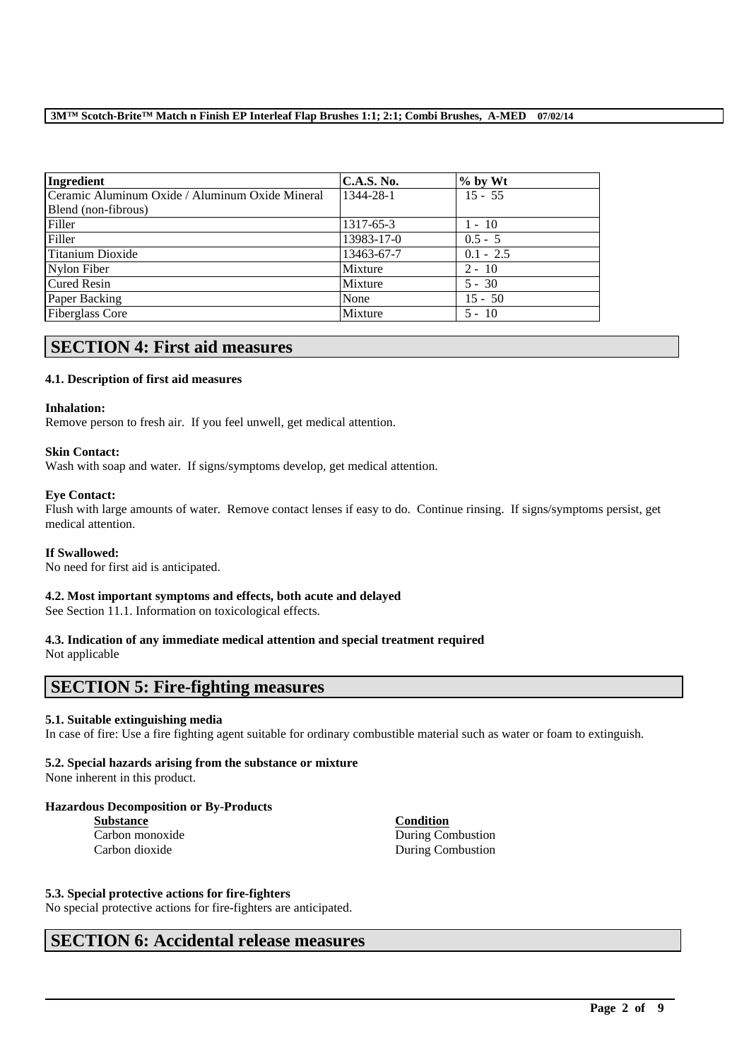| Ingredient                                      | <b>C.A.S. No.</b> | $%$ by Wt   |
|-------------------------------------------------|-------------------|-------------|
| Ceramic Aluminum Oxide / Aluminum Oxide Mineral | 1344-28-1         | $15 - 55$   |
| Blend (non-fibrous)                             |                   |             |
| Filler                                          | 1317-65-3         | $1 - 10$    |
| Filler                                          | 13983-17-0        | $0.5 - 5$   |
| Titanium Dioxide                                | 13463-67-7        | $0.1 - 2.5$ |
| Nylon Fiber                                     | Mixture           | $2 - 10$    |
| <b>Cured Resin</b>                              | Mixture           | $5 - 30$    |
| Paper Backing                                   | None              | $15 - 50$   |
| <b>Fiberglass Core</b>                          | Mixture           | $5 - 10$    |

## **SECTION 4: First aid measures**

### **4.1. Description of first aid measures**

#### **Inhalation:**

Remove person to fresh air. If you feel unwell, get medical attention.

#### **Skin Contact:**

Wash with soap and water. If signs/symptoms develop, get medical attention.

#### **Eye Contact:**

Flush with large amounts of water. Remove contact lenses if easy to do. Continue rinsing. If signs/symptoms persist, get medical attention.

#### **If Swallowed:**

No need for first aid is anticipated.

#### **4.2. Most important symptoms and effects, both acute and delayed**

See Section 11.1. Information on toxicological effects.

#### **4.3. Indication of any immediate medical attention and special treatment required**

Not applicable

## **SECTION 5: Fire-fighting measures**

#### **5.1. Suitable extinguishing media**

In case of fire: Use a fire fighting agent suitable for ordinary combustible material such as water or foam to extinguish.

\_\_\_\_\_\_\_\_\_\_\_\_\_\_\_\_\_\_\_\_\_\_\_\_\_\_\_\_\_\_\_\_\_\_\_\_\_\_\_\_\_\_\_\_\_\_\_\_\_\_\_\_\_\_\_\_\_\_\_\_\_\_\_\_\_\_\_\_\_\_\_\_\_\_\_\_\_\_\_\_\_\_\_\_\_\_\_\_\_\_

### **5.2. Special hazards arising from the substance or mixture**

None inherent in this product.

#### **Hazardous Decomposition or By-Products**

**Substance Condition**

Carbon monoxide During Combustion Carbon dioxide During Combustion

#### **5.3. Special protective actions for fire-fighters**

No special protective actions for fire-fighters are anticipated.

## **SECTION 6: Accidental release measures**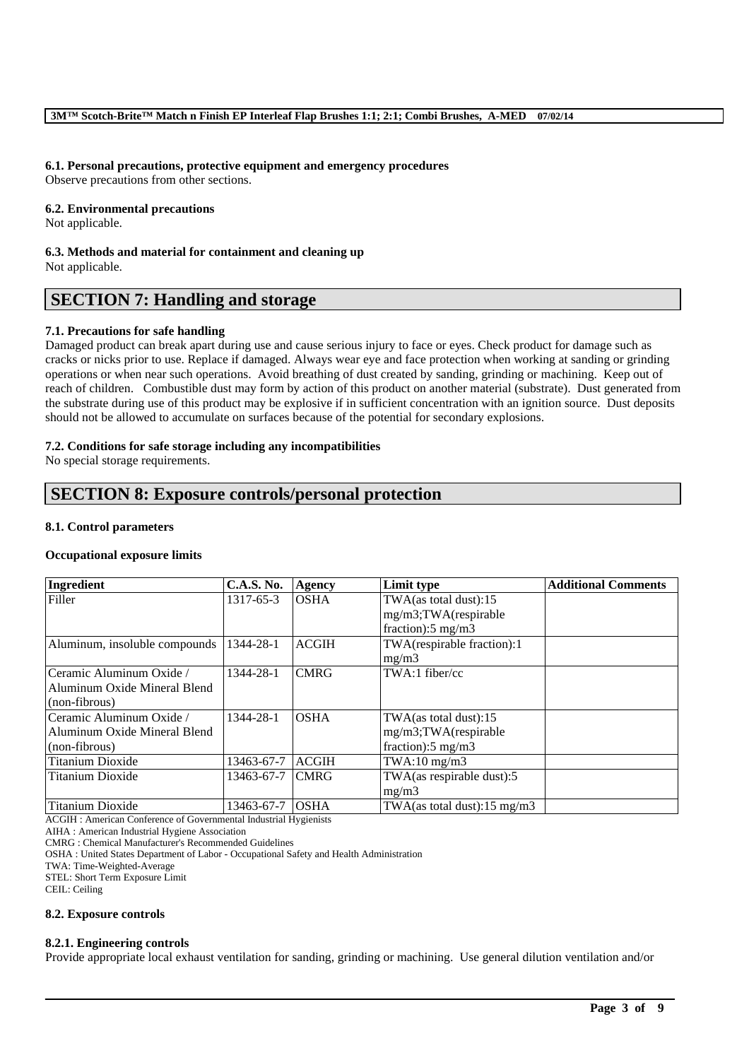#### **6.1. Personal precautions, protective equipment and emergency procedures**

Observe precautions from other sections.

#### **6.2. Environmental precautions**

Not applicable.

**6.3. Methods and material for containment and cleaning up** Not applicable.

## **SECTION 7: Handling and storage**

#### **7.1. Precautions for safe handling**

Damaged product can break apart during use and cause serious injury to face or eyes. Check product for damage such as cracks or nicks prior to use. Replace if damaged. Always wear eye and face protection when working at sanding or grinding operations or when near such operations. Avoid breathing of dust created by sanding, grinding or machining. Keep out of reach of children. Combustible dust may form by action of this product on another material (substrate). Dust generated from the substrate during use of this product may be explosive if in sufficient concentration with an ignition source. Dust deposits should not be allowed to accumulate on surfaces because of the potential for secondary explosions.

#### **7.2. Conditions for safe storage including any incompatibilities**

No special storage requirements.

## **SECTION 8: Exposure controls/personal protection**

#### **8.1. Control parameters**

#### **Occupational exposure limits**

| Ingredient                    | <b>C.A.S. No.</b> | Agency       | Limit type                    | <b>Additional Comments</b> |
|-------------------------------|-------------------|--------------|-------------------------------|----------------------------|
| Filler                        | 1317-65-3         | <b>OSHA</b>  | TWA(as total dust):15         |                            |
|                               |                   |              | mg/m3;TWA(respirable          |                            |
|                               |                   |              | fraction): $5 \text{ mg/m}$ 3 |                            |
| Aluminum, insoluble compounds | 1344-28-1         | <b>ACGIH</b> | TWA(respirable fraction):1    |                            |
|                               |                   |              | mg/m3                         |                            |
| Ceramic Aluminum Oxide /      | 1344-28-1         | <b>CMRG</b>  | TWA:1 fiber/cc                |                            |
| Aluminum Oxide Mineral Blend  |                   |              |                               |                            |
| (non-fibrous)                 |                   |              |                               |                            |
| Ceramic Aluminum Oxide /      | 1344-28-1         | <b>OSHA</b>  | TWA(as total dust):15         |                            |
| Aluminum Oxide Mineral Blend  |                   |              | mg/m3;TWA(respirable          |                            |
| (non-fibrous)                 |                   |              | fraction): $5 \text{ mg/m}$ 3 |                            |
| <b>Titanium Dioxide</b>       | 13463-67-7        | <b>ACGIH</b> | $TWA:10$ mg/m $3$             |                            |
| Titanium Dioxide              | 13463-67-7        | <b>CMRG</b>  | TWA(as respirable dust):5     |                            |
|                               |                   |              | mg/m3                         |                            |
| Titanium Dioxide              | 13463-67-7        | <b>OSHA</b>  | TWA(as total dust):15 mg/m3   |                            |

ACGIH : American Conference of Governmental Industrial Hygienists

AIHA : American Industrial Hygiene Association

CMRG : Chemical Manufacturer's Recommended Guidelines

OSHA : United States Department of Labor - Occupational Safety and Health Administration

TWA: Time-Weighted-Average

STEL: Short Term Exposure Limit

CEIL: Ceiling

#### **8.2. Exposure controls**

#### **8.2.1. Engineering controls**

Provide appropriate local exhaust ventilation for sanding, grinding or machining. Use general dilution ventilation and/or

\_\_\_\_\_\_\_\_\_\_\_\_\_\_\_\_\_\_\_\_\_\_\_\_\_\_\_\_\_\_\_\_\_\_\_\_\_\_\_\_\_\_\_\_\_\_\_\_\_\_\_\_\_\_\_\_\_\_\_\_\_\_\_\_\_\_\_\_\_\_\_\_\_\_\_\_\_\_\_\_\_\_\_\_\_\_\_\_\_\_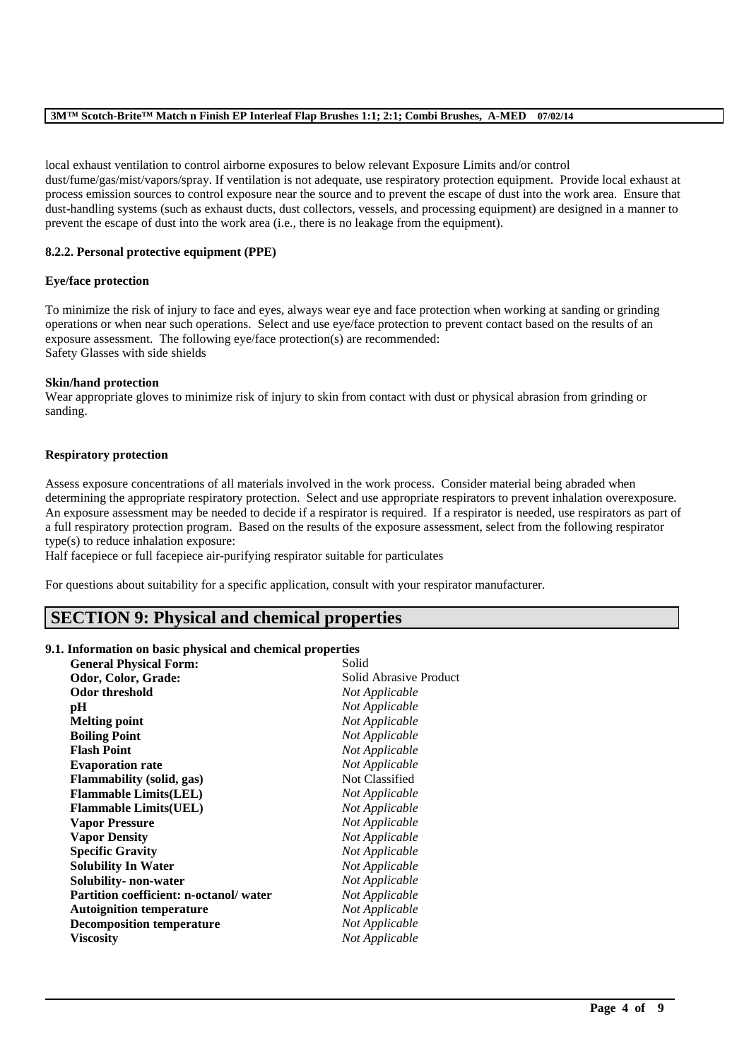local exhaust ventilation to control airborne exposures to below relevant Exposure Limits and/or control dust/fume/gas/mist/vapors/spray. If ventilation is not adequate, use respiratory protection equipment. Provide local exhaust at process emission sources to control exposure near the source and to prevent the escape of dust into the work area. Ensure that dust-handling systems (such as exhaust ducts, dust collectors, vessels, and processing equipment) are designed in a manner to prevent the escape of dust into the work area (i.e., there is no leakage from the equipment).

#### **8.2.2. Personal protective equipment (PPE)**

#### **Eye/face protection**

To minimize the risk of injury to face and eyes, always wear eye and face protection when working at sanding or grinding operations or when near such operations. Select and use eye/face protection to prevent contact based on the results of an exposure assessment. The following eye/face protection(s) are recommended: Safety Glasses with side shields

#### **Skin/hand protection**

Wear appropriate gloves to minimize risk of injury to skin from contact with dust or physical abrasion from grinding or sanding.

#### **Respiratory protection**

Assess exposure concentrations of all materials involved in the work process. Consider material being abraded when determining the appropriate respiratory protection. Select and use appropriate respirators to prevent inhalation overexposure. An exposure assessment may be needed to decide if a respirator is required. If a respirator is needed, use respirators as part of a full respiratory protection program. Based on the results of the exposure assessment, select from the following respirator type(s) to reduce inhalation exposure:

\_\_\_\_\_\_\_\_\_\_\_\_\_\_\_\_\_\_\_\_\_\_\_\_\_\_\_\_\_\_\_\_\_\_\_\_\_\_\_\_\_\_\_\_\_\_\_\_\_\_\_\_\_\_\_\_\_\_\_\_\_\_\_\_\_\_\_\_\_\_\_\_\_\_\_\_\_\_\_\_\_\_\_\_\_\_\_\_\_\_

Half facepiece or full facepiece air-purifying respirator suitable for particulates

For questions about suitability for a specific application, consult with your respirator manufacturer.

### **SECTION 9: Physical and chemical properties**

#### **9.1. Information on basic physical and chemical properties**

| <b>General Physical Form:</b>          | Solid                  |
|----------------------------------------|------------------------|
| Odor, Color, Grade:                    | Solid Abrasive Product |
| <b>Odor threshold</b>                  | Not Applicable         |
| рH                                     | Not Applicable         |
| <b>Melting point</b>                   | Not Applicable         |
| <b>Boiling Point</b>                   | Not Applicable         |
| <b>Flash Point</b>                     | Not Applicable         |
| <b>Evaporation rate</b>                | Not Applicable         |
| <b>Flammability (solid, gas)</b>       | Not Classified         |
| <b>Flammable Limits(LEL)</b>           | Not Applicable         |
| <b>Flammable Limits(UEL)</b>           | Not Applicable         |
| <b>Vapor Pressure</b>                  | Not Applicable         |
| <b>Vapor Density</b>                   | Not Applicable         |
| <b>Specific Gravity</b>                | Not Applicable         |
| <b>Solubility In Water</b>             | Not Applicable         |
| Solubility- non-water                  | Not Applicable         |
| Partition coefficient: n-octanol/water | Not Applicable         |
| <b>Autoignition temperature</b>        | Not Applicable         |
| <b>Decomposition temperature</b>       | Not Applicable         |
| Viscosity                              | Not Applicable         |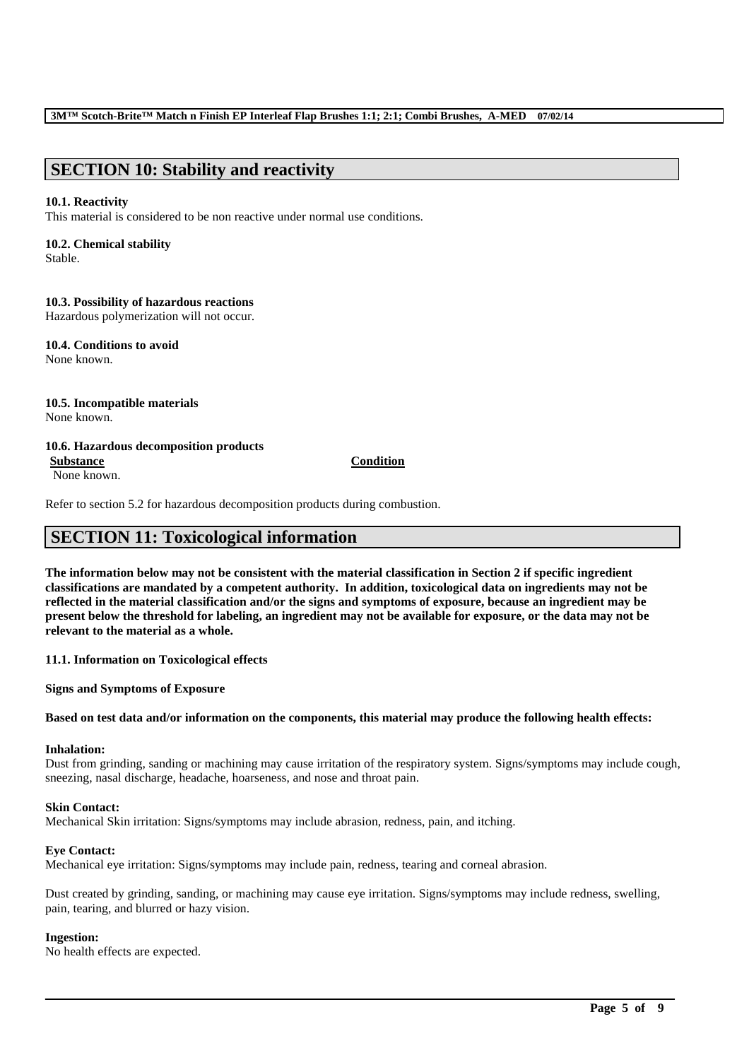## **SECTION 10: Stability and reactivity**

#### **10.1. Reactivity**

This material is considered to be non reactive under normal use conditions.

## **10.2. Chemical stability**

Stable.

#### **10.3. Possibility of hazardous reactions**

Hazardous polymerization will not occur.

**10.4. Conditions to avoid** None known.

# **10.5. Incompatible materials**

None known.

#### **10.6. Hazardous decomposition products**

None known.

#### **Substance Condition**

Refer to section 5.2 for hazardous decomposition products during combustion.

## **SECTION 11: Toxicological information**

**The information below may not be consistent with the material classification in Section 2 if specific ingredient classifications are mandated by a competent authority. In addition, toxicological data on ingredients may not be reflected in the material classification and/or the signs and symptoms of exposure, because an ingredient may be present below the threshold for labeling, an ingredient may not be available for exposure, or the data may not be relevant to the material as a whole.**

**11.1. Information on Toxicological effects**

**Signs and Symptoms of Exposure**

#### **Based on test data and/or information on the components, this material may produce the following health effects:**

### **Inhalation:**

Dust from grinding, sanding or machining may cause irritation of the respiratory system. Signs/symptoms may include cough, sneezing, nasal discharge, headache, hoarseness, and nose and throat pain.

#### **Skin Contact:**

Mechanical Skin irritation: Signs/symptoms may include abrasion, redness, pain, and itching.

#### **Eye Contact:**

Mechanical eye irritation: Signs/symptoms may include pain, redness, tearing and corneal abrasion.

Dust created by grinding, sanding, or machining may cause eye irritation. Signs/symptoms may include redness, swelling, pain, tearing, and blurred or hazy vision.

\_\_\_\_\_\_\_\_\_\_\_\_\_\_\_\_\_\_\_\_\_\_\_\_\_\_\_\_\_\_\_\_\_\_\_\_\_\_\_\_\_\_\_\_\_\_\_\_\_\_\_\_\_\_\_\_\_\_\_\_\_\_\_\_\_\_\_\_\_\_\_\_\_\_\_\_\_\_\_\_\_\_\_\_\_\_\_\_\_\_

#### **Ingestion:**

No health effects are expected.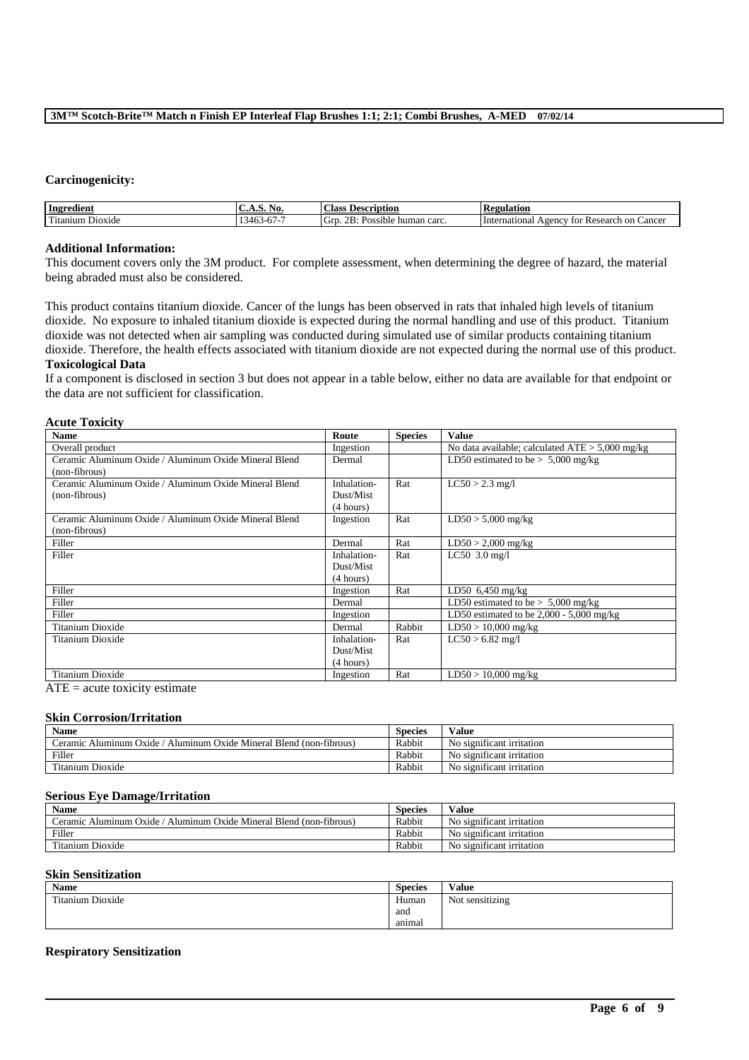#### **Carcinogenicity:**

**Acute Toxicity**

| Ingredient                                                                                                                                                                                                                                                         | A.S. No.                    | Description<br>Ulass                             | <b>kegulation</b>                                           |
|--------------------------------------------------------------------------------------------------------------------------------------------------------------------------------------------------------------------------------------------------------------------|-----------------------------|--------------------------------------------------|-------------------------------------------------------------|
| rent to the second the second term in the second term in the second term in the second term in the second term in the second term in the second term in the second term in the second term in the second term in the second te<br>D <sub>10X1</sub> de<br>Fitanium | .146<br>$-1$<br>$\mathbf v$ | OD.<br>∽<br>. GTD<br>Possible human carc.<br>-D. | International<br>Research on<br>$\sqrt{2}$<br>Cancel<br>tor |

#### **Additional Information:**

This document covers only the 3M product. For complete assessment, when determining the degree of hazard, the material being abraded must also be considered.

This product contains titanium dioxide. Cancer of the lungs has been observed in rats that inhaled high levels of titanium dioxide. No exposure to inhaled titanium dioxide is expected during the normal handling and use of this product. Titanium dioxide was not detected when air sampling was conducted during simulated use of similar products containing titanium dioxide. Therefore, the health effects associated with titanium dioxide are not expected during the normal use of this product. **Toxicological Data**

If a component is disclosed in section 3 but does not appear in a table below, either no data are available for that endpoint or the data are not sufficient for classification.

| ACULE TOXICILY                                        |             |                |                                                   |
|-------------------------------------------------------|-------------|----------------|---------------------------------------------------|
| <b>Name</b>                                           | Route       | <b>Species</b> | <b>Value</b>                                      |
| Overall product                                       | Ingestion   |                | No data available; calculated $ATE > 5,000$ mg/kg |
| Ceramic Aluminum Oxide / Aluminum Oxide Mineral Blend | Dermal      |                | LD50 estimated to be $> 5,000$ mg/kg              |
| (non-fibrous)                                         |             |                |                                                   |
| Ceramic Aluminum Oxide / Aluminum Oxide Mineral Blend | Inhalation- | Rat            | $LC50 > 2.3$ mg/l                                 |
| (non-fibrous)                                         | Dust/Mist   |                |                                                   |
|                                                       | (4 hours)   |                |                                                   |
| Ceramic Aluminum Oxide / Aluminum Oxide Mineral Blend | Ingestion   | Rat            | $LD50 > 5,000$ mg/kg                              |
| (non-fibrous)                                         |             |                |                                                   |
| Filler                                                | Dermal      | Rat            | $LD50 > 2,000$ mg/kg                              |
| Filler                                                | Inhalation- | Rat            | LC50 $3.0$ mg/l                                   |
|                                                       | Dust/Mist   |                |                                                   |
|                                                       | (4 hours)   |                |                                                   |
| Filler                                                | Ingestion   | Rat            | LD50 $6,450$ mg/kg                                |
| Filler                                                | Dermal      |                | LD50 estimated to be $> 5,000$ mg/kg              |
| Filler                                                | Ingestion   |                | LD50 estimated to be $2,000 - 5,000$ mg/kg        |
| Titanium Dioxide                                      | Dermal      | Rabbit         | $LD50 > 10,000$ mg/kg                             |
| Titanium Dioxide                                      | Inhalation- | Rat            | $LC50 > 6.82$ mg/l                                |
|                                                       | Dust/Mist   |                |                                                   |
|                                                       | (4 hours)   |                |                                                   |
| Titanium Dioxide                                      | Ingestion   | Rat            | $LD50 > 10,000$ mg/kg                             |

 $ATE = acute$  toxicity estimate

#### **Skin Corrosion/Irritation**

| Name                                                                            | Species | Value                                |
|---------------------------------------------------------------------------------|---------|--------------------------------------|
| Aluminum Oxide<br>Oxide Mineral Blend<br>Aluminum<br>. (non-fibrous)<br>'eramic | Rabbit  | No significant irritation            |
| Filler                                                                          | Rabbit  | $\cdot$<br>No significant irritation |
| control.<br>Fitanium Dioxide                                                    | Rabbit  | No significant irritation            |

#### **Serious Eye Damage/Irritation**

| <b>Name</b>                                                               | <b>Species</b> | Value                     |
|---------------------------------------------------------------------------|----------------|---------------------------|
| Aluminum Oxide Mineral Blend (non-fibrous)<br>Oxide<br>Aluminum<br>eramic | Rabbit         | No significant irritation |
| Filler                                                                    | Rabbit         | No significant irritation |
| Titanium Dioxide                                                          | Rabbit         | No significant irritation |

### **Skin Sensitization**

| <b>Name</b>      | <b>Species</b> | Value                                 |
|------------------|----------------|---------------------------------------|
| Titanium Dioxide | Human          | .<br>$\sim$ $\sim$<br>Not sensitizing |
|                  | and            |                                       |
|                  | animal         |                                       |

\_\_\_\_\_\_\_\_\_\_\_\_\_\_\_\_\_\_\_\_\_\_\_\_\_\_\_\_\_\_\_\_\_\_\_\_\_\_\_\_\_\_\_\_\_\_\_\_\_\_\_\_\_\_\_\_\_\_\_\_\_\_\_\_\_\_\_\_\_\_\_\_\_\_\_\_\_\_\_\_\_\_\_\_\_\_\_\_\_\_

#### **Respiratory Sensitization**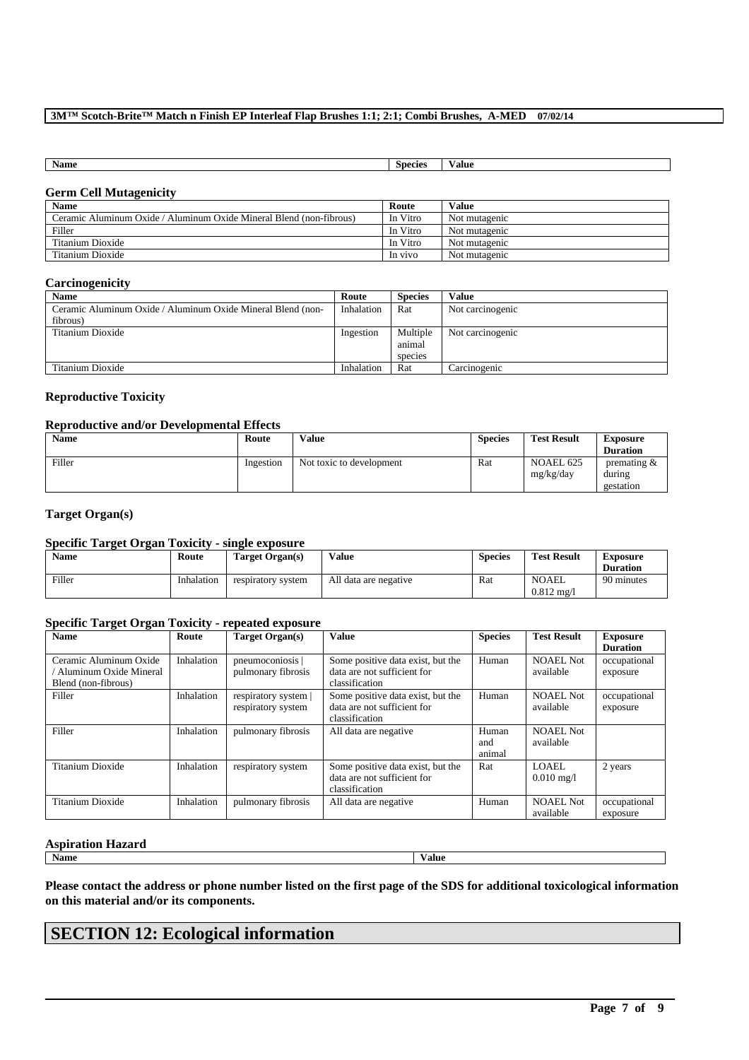| <b>Name</b> | <b>Species</b> | ⁄ alue |
|-------------|----------------|--------|

### **Germ Cell Mutagenicity**

| <b>Name</b>                                                         | Route    | <b>Value</b>  |
|---------------------------------------------------------------------|----------|---------------|
| Ceramic Aluminum Oxide / Aluminum Oxide Mineral Blend (non-fibrous) | In Vitro | Not mutagenic |
| Filler                                                              | In Vitro | Not mutagenic |
| Titanium Dioxide                                                    | In Vitro | Not mutagenic |
| Titanium Dioxide                                                    | In vivo  | Not mutagenic |

### **Carcinogenicity**

| <b>Name</b>                                                 | Route      | <b>Species</b> | Value            |
|-------------------------------------------------------------|------------|----------------|------------------|
| Ceramic Aluminum Oxide / Aluminum Oxide Mineral Blend (non- | Inhalation | Rat            | Not carcinogenic |
| fibrous)                                                    |            |                |                  |
| Titanium Dioxide                                            | Ingestion  | Multiple       | Not carcinogenic |
|                                                             |            | animal         |                  |
|                                                             |            | species        |                  |
| Titanium Dioxide                                            | Inhalation | Rat            | Carcinogenic     |

### **Reproductive Toxicity**

### **Reproductive and/or Developmental Effects**

| <b>Name</b> | Route     | <b>Value</b>             | <b>Species</b> | <b>Test Result</b>     | Exposure                              |
|-------------|-----------|--------------------------|----------------|------------------------|---------------------------------------|
|             |           |                          |                |                        | <b>Duration</b>                       |
| Filler      | Ingestion | Not toxic to development | Rat            | NOAEL 625<br>mg/kg/day | premating $\&$<br>during<br>gestation |

#### **Target Organ(s)**

#### **Specific Target Organ Toxicity - single exposure**

| <b>Name</b> | Route      | Target Organ(s)    | Value                 | <b>Species</b> | <b>Test Result</b>             | Exposure<br><b>Duration</b> |
|-------------|------------|--------------------|-----------------------|----------------|--------------------------------|-----------------------------|
| Filler      | Inhalation | respiratory system | All data are negative | Rat            | NOAEL<br>$0.812 \text{ m}$ g/l | 90 minutes                  |

#### **Specific Target Organ Toxicity - repeated exposure**

| <b>Name</b>             | Route      | Target Organ(s)    | <b>Value</b>                      | <b>Species</b> | <b>Test Result</b>   | <b>Exposure</b> |
|-------------------------|------------|--------------------|-----------------------------------|----------------|----------------------|-----------------|
|                         |            |                    |                                   |                |                      | <b>Duration</b> |
| Ceramic Aluminum Oxide  | Inhalation | pneumoconiosis     | Some positive data exist, but the | Human          | <b>NOAEL Not</b>     | occupational    |
| Aluminum Oxide Mineral  |            | pulmonary fibrosis | data are not sufficient for       |                | available            | exposure        |
| Blend (non-fibrous)     |            |                    | classification                    |                |                      |                 |
| Filler                  | Inhalation | respiratory system | Some positive data exist, but the | Human          | <b>NOAEL Not</b>     | occupational    |
|                         |            | respiratory system | data are not sufficient for       |                | available            | exposure        |
|                         |            |                    | classification                    |                |                      |                 |
| Filler                  | Inhalation | pulmonary fibrosis | All data are negative             | Human          | <b>NOAEL Not</b>     |                 |
|                         |            |                    |                                   | and            | available            |                 |
|                         |            |                    |                                   | animal         |                      |                 |
| <b>Titanium Dioxide</b> | Inhalation | respiratory system | Some positive data exist, but the | Rat            | LOAEL.               | 2 years         |
|                         |            |                    | data are not sufficient for       |                | $0.010 \text{ mg}/1$ |                 |
|                         |            |                    | classification                    |                |                      |                 |
| Titanium Dioxide        | Inhalation | pulmonary fibrosis | All data are negative             | Human          | NOAEL Not            | occupational    |
|                         |            |                    |                                   |                | available            | exposure        |

#### **Aspiration Hazard**

**Name Value**

**Please contact the address or phone number listed on the first page of the SDS for additional toxicological information on this material and/or its components.**

\_\_\_\_\_\_\_\_\_\_\_\_\_\_\_\_\_\_\_\_\_\_\_\_\_\_\_\_\_\_\_\_\_\_\_\_\_\_\_\_\_\_\_\_\_\_\_\_\_\_\_\_\_\_\_\_\_\_\_\_\_\_\_\_\_\_\_\_\_\_\_\_\_\_\_\_\_\_\_\_\_\_\_\_\_\_\_\_\_\_

# **SECTION 12: Ecological information**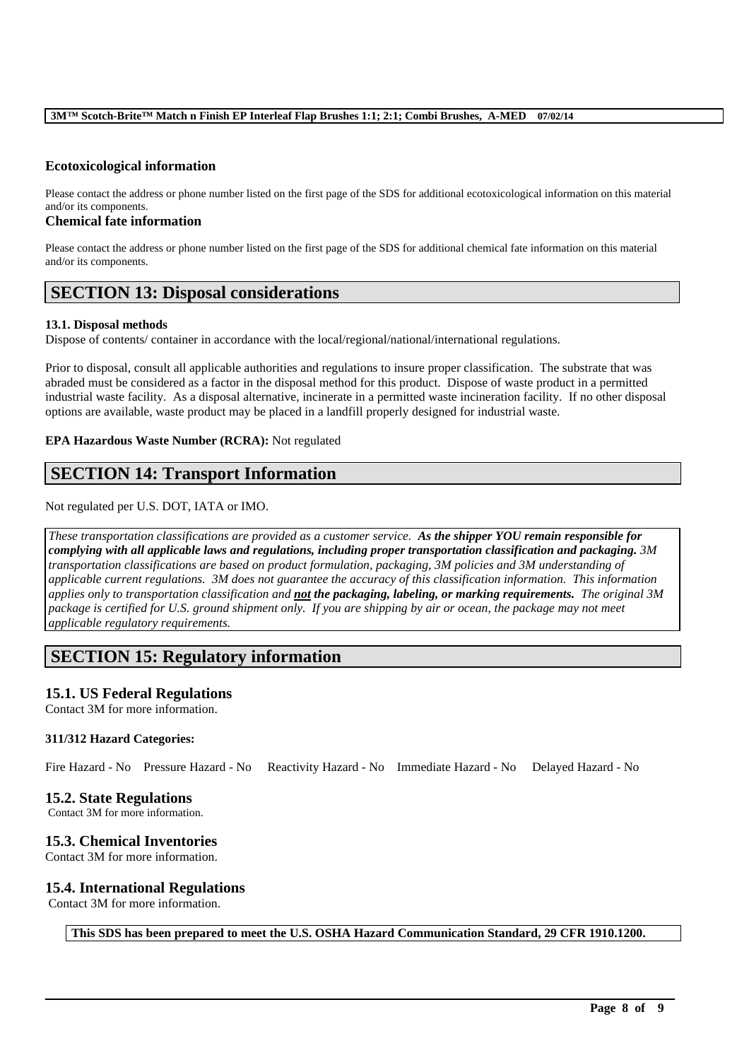### **Ecotoxicological information**

Please contact the address or phone number listed on the first page of the SDS for additional ecotoxicological information on this material and/or its components.

#### **Chemical fate information**

Please contact the address or phone number listed on the first page of the SDS for additional chemical fate information on this material and/or its components.

### **SECTION 13: Disposal considerations**

#### **13.1. Disposal methods**

Dispose of contents/ container in accordance with the local/regional/national/international regulations.

Prior to disposal, consult all applicable authorities and regulations to insure proper classification. The substrate that was abraded must be considered as a factor in the disposal method for this product. Dispose of waste product in a permitted industrial waste facility. As a disposal alternative, incinerate in a permitted waste incineration facility. If no other disposal options are available, waste product may be placed in a landfill properly designed for industrial waste.

#### **EPA Hazardous Waste Number (RCRA):** Not regulated

## **SECTION 14: Transport Information**

Not regulated per U.S. DOT, IATA or IMO.

*These transportation classifications are provided as a customer service. As the shipper YOU remain responsible for complying with all applicable laws and regulations, including proper transportation classification and packaging. 3M transportation classifications are based on product formulation, packaging, 3M policies and 3M understanding of applicable current regulations. 3M does not guarantee the accuracy of this classification information. This information applies only to transportation classification and not the packaging, labeling, or marking requirements. The original 3M* package is certified for U.S. ground shipment only. If you are shipping by air or ocean, the package may not meet *applicable regulatory requirements.* 

## **SECTION 15: Regulatory information**

### **15.1. US Federal Regulations**

Contact 3M for more information.

#### **311/312 Hazard Categories:**

Fire Hazard - No Pressure Hazard - No Reactivity Hazard - No Immediate Hazard - No Delayed Hazard - No

#### **15.2. State Regulations**

Contact 3M for more information.

#### **15.3. Chemical Inventories**

Contact 3M for more information.

#### **15.4. International Regulations**

Contact 3M for more information.

**This SDS has been prepared to meet the U.S. OSHA Hazard Communication Standard, 29 CFR 1910.1200.**

\_\_\_\_\_\_\_\_\_\_\_\_\_\_\_\_\_\_\_\_\_\_\_\_\_\_\_\_\_\_\_\_\_\_\_\_\_\_\_\_\_\_\_\_\_\_\_\_\_\_\_\_\_\_\_\_\_\_\_\_\_\_\_\_\_\_\_\_\_\_\_\_\_\_\_\_\_\_\_\_\_\_\_\_\_\_\_\_\_\_